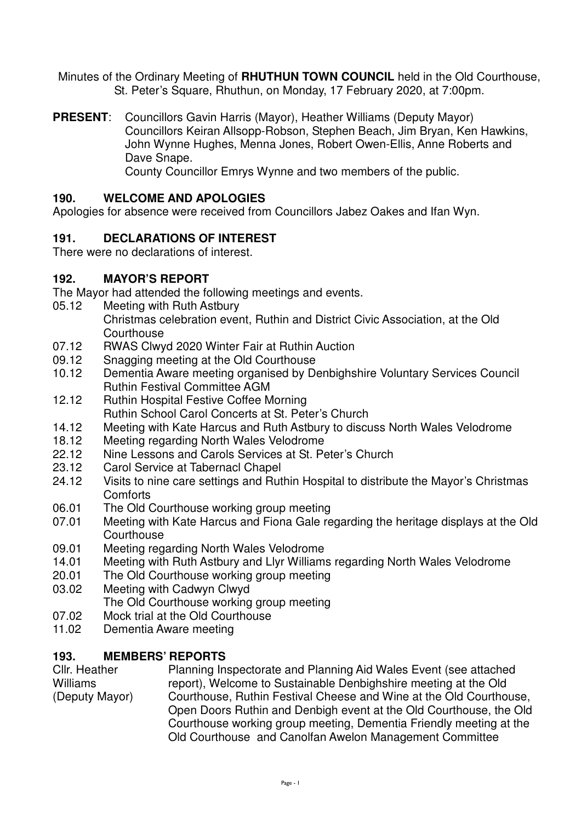Minutes of the Ordinary Meeting of **RHUTHUN TOWN COUNCIL** held in the Old Courthouse, St. Peter's Square, Rhuthun, on Monday, 17 February 2020, at 7:00pm.

**PRESENT**: Councillors Gavin Harris (Mayor), Heather Williams (Deputy Mayor) Councillors Keiran Allsopp-Robson, Stephen Beach, Jim Bryan, Ken Hawkins, John Wynne Hughes, Menna Jones, Robert Owen-Ellis, Anne Roberts and Dave Snape. County Councillor Emrys Wynne and two members of the public.

# **190. WELCOME AND APOLOGIES**

Apologies for absence were received from Councillors Jabez Oakes and Ifan Wyn.

## **191. DECLARATIONS OF INTEREST**

There were no declarations of interest.

#### **192. MAYOR'S REPORT**

The Mayor had attended the following meetings and events.

- 05.12 Meeting with Ruth Astbury
	- Christmas celebration event, Ruthin and District Civic Association, at the Old **Courthouse**
- 07.12 RWAS Clwyd 2020 Winter Fair at Ruthin Auction
- 09.12 Snagging meeting at the Old Courthouse
- 10.12 Dementia Aware meeting organised by Denbighshire Voluntary Services Council Ruthin Festival Committee AGM
- 12.12 Ruthin Hospital Festive Coffee Morning Ruthin School Carol Concerts at St. Peter's Church
- 14.12 Meeting with Kate Harcus and Ruth Astbury to discuss North Wales Velodrome
- 18.12 Meeting regarding North Wales Velodrome<br>22.12 Nine Lessons and Carols Services at St. Pe
- Nine Lessons and Carols Services at St. Peter's Church
- 23.12 Carol Service at Tabernacl Chapel
- 24.12 Visits to nine care settings and Ruthin Hospital to distribute the Mayor's Christmas **Comforts**
- 06.01 The Old Courthouse working group meeting
- 07.01 Meeting with Kate Harcus and Fiona Gale regarding the heritage displays at the Old **Courthouse**
- 09.01 Meeting regarding North Wales Velodrome
- 14.01 Meeting with Ruth Astbury and Llyr Williams regarding North Wales Velodrome
- 20.01 The Old Courthouse working group meeting
- 03.02 Meeting with Cadwyn Clwyd
	- The Old Courthouse working group meeting
- 07.02 Mock trial at the Old Courthouse
- 11.02 Dementia Aware meeting

## **193. MEMBERS' REPORTS**

Cllr. Heather Williams (Deputy Mayor) Planning Inspectorate and Planning Aid Wales Event (see attached report), Welcome to Sustainable Denbighshire meeting at the Old Courthouse, Ruthin Festival Cheese and Wine at the Old Courthouse, Open Doors Ruthin and Denbigh event at the Old Courthouse, the Old Courthouse working group meeting, Dementia Friendly meeting at the Old Courthouse and Canolfan Awelon Management Committee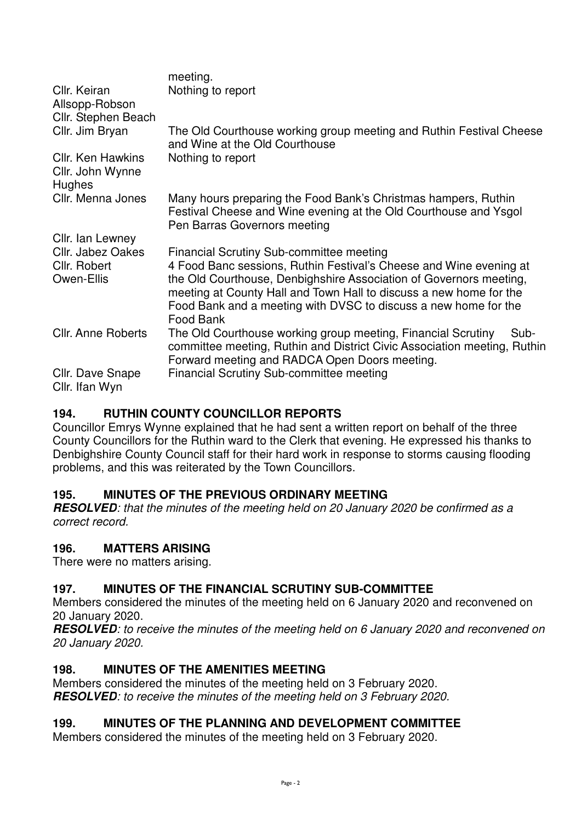| Cllr. Keiran                                           | meeting.<br>Nothing to report                                                                                                                                                                                                                                                                                                                     |  |  |  |
|--------------------------------------------------------|---------------------------------------------------------------------------------------------------------------------------------------------------------------------------------------------------------------------------------------------------------------------------------------------------------------------------------------------------|--|--|--|
| Allsopp-Robson<br>Cllr. Stephen Beach                  |                                                                                                                                                                                                                                                                                                                                                   |  |  |  |
| Cllr. Jim Bryan                                        | The Old Courthouse working group meeting and Ruthin Festival Cheese<br>and Wine at the Old Courthouse                                                                                                                                                                                                                                             |  |  |  |
| <b>Cllr. Ken Hawkins</b><br>Cllr. John Wynne<br>Hughes | Nothing to report                                                                                                                                                                                                                                                                                                                                 |  |  |  |
| Cllr. Menna Jones                                      | Many hours preparing the Food Bank's Christmas hampers, Ruthin<br>Festival Cheese and Wine evening at the Old Courthouse and Ysgol<br>Pen Barras Governors meeting                                                                                                                                                                                |  |  |  |
| Cllr. Ian Lewney                                       |                                                                                                                                                                                                                                                                                                                                                   |  |  |  |
| <b>Cllr. Jabez Oakes</b><br>Cllr. Robert<br>Owen-Ellis | <b>Financial Scrutiny Sub-committee meeting</b><br>4 Food Banc sessions, Ruthin Festival's Cheese and Wine evening at<br>the Old Courthouse, Denbighshire Association of Governors meeting,<br>meeting at County Hall and Town Hall to discuss a new home for the<br>Food Bank and a meeting with DVSC to discuss a new home for the<br>Food Bank |  |  |  |
| Cllr. Anne Roberts                                     | The Old Courthouse working group meeting, Financial Scrutiny<br>Sub-<br>committee meeting, Ruthin and District Civic Association meeting, Ruthin<br>Forward meeting and RADCA Open Doors meeting.                                                                                                                                                 |  |  |  |
| Cllr. Dave Snape<br>Cllr. Ifan Wyn                     | <b>Financial Scrutiny Sub-committee meeting</b>                                                                                                                                                                                                                                                                                                   |  |  |  |

## **194. RUTHIN COUNTY COUNCILLOR REPORTS**

Councillor Emrys Wynne explained that he had sent a written report on behalf of the three County Councillors for the Ruthin ward to the Clerk that evening. He expressed his thanks to Denbighshire County Council staff for their hard work in response to storms causing flooding problems, and this was reiterated by the Town Councillors.

## **195. MINUTES OF THE PREVIOUS ORDINARY MEETING**

**RESOLVED***: that the minutes of the meeting held on 20 January 2020 be confirmed as a correct record.* 

## **196. MATTERS ARISING**

There were no matters arising.

# **197. MINUTES OF THE FINANCIAL SCRUTINY SUB-COMMITTEE**

Members considered the minutes of the meeting held on 6 January 2020 and reconvened on 20 January 2020.

**RESOLVED***: to receive the minutes of the meeting held on 6 January 2020 and reconvened on 20 January 2020.*

## **198. MINUTES OF THE AMENITIES MEETING**

Members considered the minutes of the meeting held on 3 February 2020. **RESOLVED***: to receive the minutes of the meeting held on 3 February 2020.*

## **199. MINUTES OF THE PLANNING AND DEVELOPMENT COMMITTEE**

Members considered the minutes of the meeting held on 3 February 2020.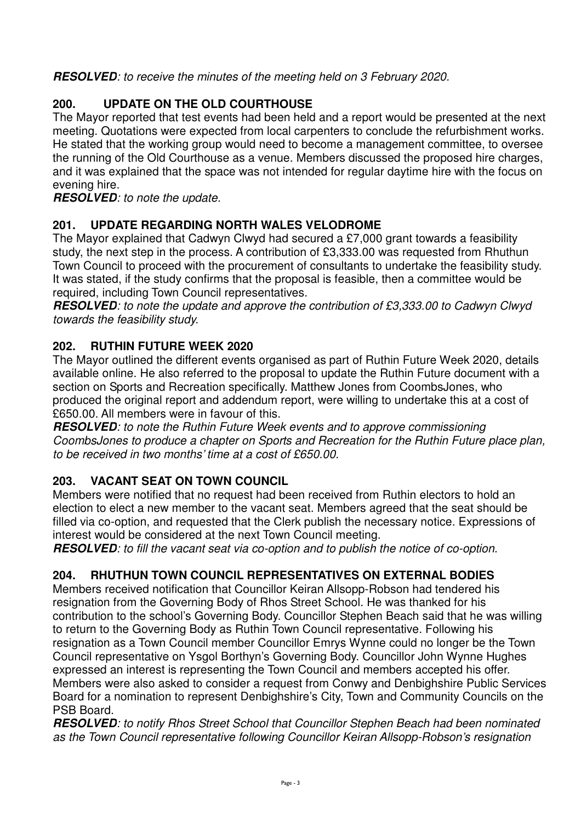**RESOLVED***: to receive the minutes of the meeting held on 3 February 2020.* 

# **200. UPDATE ON THE OLD COURTHOUSE**

The Mayor reported that test events had been held and a report would be presented at the next meeting. Quotations were expected from local carpenters to conclude the refurbishment works. He stated that the working group would need to become a management committee, to oversee the running of the Old Courthouse as a venue. Members discussed the proposed hire charges, and it was explained that the space was not intended for regular daytime hire with the focus on evening hire.

**RESOLVED***: to note the update.* 

# **201. UPDATE REGARDING NORTH WALES VELODROME**

The Mayor explained that Cadwyn Clwyd had secured a £7,000 grant towards a feasibility study, the next step in the process. A contribution of £3,333.00 was requested from Rhuthun Town Council to proceed with the procurement of consultants to undertake the feasibility study. It was stated, if the study confirms that the proposal is feasible, then a committee would be required, including Town Council representatives.

**RESOLVED***: to note the update and approve the contribution of £3,333.00 to Cadwyn Clwyd towards the feasibility study.* 

# **202. RUTHIN FUTURE WEEK 2020**

The Mayor outlined the different events organised as part of Ruthin Future Week 2020, details available online. He also referred to the proposal to update the Ruthin Future document with a section on Sports and Recreation specifically. Matthew Jones from CoombsJones, who produced the original report and addendum report, were willing to undertake this at a cost of £650.00. All members were in favour of this.

**RESOLVED***: to note the Ruthin Future Week events and to approve commissioning CoombsJones to produce a chapter on Sports and Recreation for the Ruthin Future place plan, to be received in two months' time at a cost of £650.00.* 

# **203. VACANT SEAT ON TOWN COUNCIL**

Members were notified that no request had been received from Ruthin electors to hold an election to elect a new member to the vacant seat. Members agreed that the seat should be filled via co-option, and requested that the Clerk publish the necessary notice. Expressions of interest would be considered at the next Town Council meeting.

**RESOLVED***: to fill the vacant seat via co-option and to publish the notice of co-option.* 

# **204. RHUTHUN TOWN COUNCIL REPRESENTATIVES ON EXTERNAL BODIES**

Members received notification that Councillor Keiran Allsopp-Robson had tendered his resignation from the Governing Body of Rhos Street School. He was thanked for his contribution to the school's Governing Body. Councillor Stephen Beach said that he was willing to return to the Governing Body as Ruthin Town Council representative. Following his resignation as a Town Council member Councillor Emrys Wynne could no longer be the Town Council representative on Ysgol Borthyn's Governing Body. Councillor John Wynne Hughes expressed an interest is representing the Town Council and members accepted his offer. Members were also asked to consider a request from Conwy and Denbighshire Public Services Board for a nomination to represent Denbighshire's City, Town and Community Councils on the PSB Board.

**RESOLVED***: to notify Rhos Street School that Councillor Stephen Beach had been nominated as the Town Council representative following Councillor Keiran Allsopp-Robson's resignation*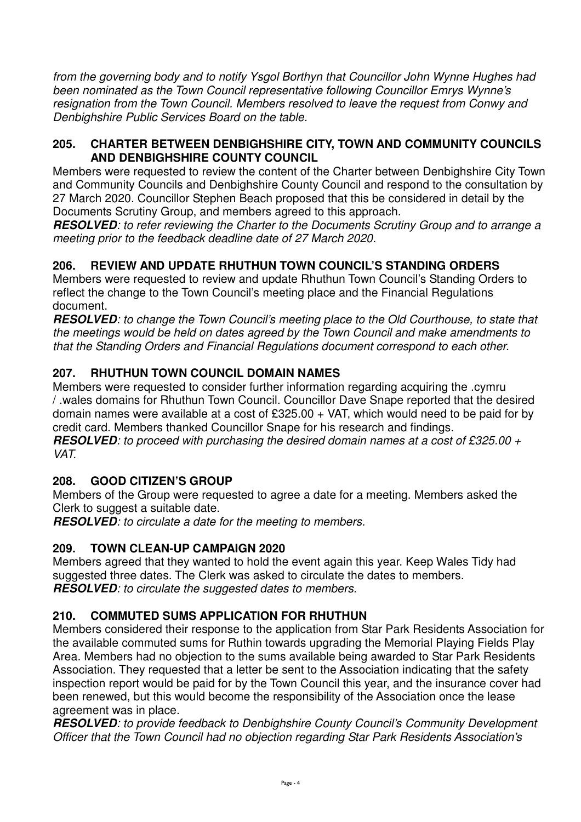*from the governing body and to notify Ysgol Borthyn that Councillor John Wynne Hughes had been nominated as the Town Council representative following Councillor Emrys Wynne's resignation from the Town Council. Members resolved to leave the request from Conwy and Denbighshire Public Services Board on the table.* 

#### **205. CHARTER BETWEEN DENBIGHSHIRE CITY, TOWN AND COMMUNITY COUNCILS AND DENBIGHSHIRE COUNTY COUNCIL**

Members were requested to review the content of the Charter between Denbighshire City Town and Community Councils and Denbighshire County Council and respond to the consultation by 27 March 2020. Councillor Stephen Beach proposed that this be considered in detail by the Documents Scrutiny Group, and members agreed to this approach.

**RESOLVED***: to refer reviewing the Charter to the Documents Scrutiny Group and to arrange a meeting prior to the feedback deadline date of 27 March 2020.*

# **206. REVIEW AND UPDATE RHUTHUN TOWN COUNCIL'S STANDING ORDERS**

Members were requested to review and update Rhuthun Town Council's Standing Orders to reflect the change to the Town Council's meeting place and the Financial Regulations document.

**RESOLVED***: to change the Town Council's meeting place to the Old Courthouse, to state that the meetings would be held on dates agreed by the Town Council and make amendments to that the Standing Orders and Financial Regulations document correspond to each other.* 

# **207. RHUTHUN TOWN COUNCIL DOMAIN NAMES**

Members were requested to consider further information regarding acquiring the .cymru / .wales domains for Rhuthun Town Council. Councillor Dave Snape reported that the desired domain names were available at a cost of £325.00 + VAT, which would need to be paid for by credit card. Members thanked Councillor Snape for his research and findings.

**RESOLVED***: to proceed with purchasing the desired domain names at a cost of £325.00 + VAT.* 

# **208. GOOD CITIZEN'S GROUP**

Members of the Group were requested to agree a date for a meeting. Members asked the Clerk to suggest a suitable date.

**RESOLVED***: to circulate a date for the meeting to members.* 

# **209. TOWN CLEAN-UP CAMPAIGN 2020**

Members agreed that they wanted to hold the event again this year. Keep Wales Tidy had suggested three dates. The Clerk was asked to circulate the dates to members. **RESOLVED***: to circulate the suggested dates to members.* 

# **210. COMMUTED SUMS APPLICATION FOR RHUTHUN**

Members considered their response to the application from Star Park Residents Association for the available commuted sums for Ruthin towards upgrading the Memorial Playing Fields Play Area. Members had no objection to the sums available being awarded to Star Park Residents Association. They requested that a letter be sent to the Association indicating that the safety inspection report would be paid for by the Town Council this year, and the insurance cover had been renewed, but this would become the responsibility of the Association once the lease agreement was in place.

**RESOLVED***: to provide feedback to Denbighshire County Council's Community Development Officer that the Town Council had no objection regarding Star Park Residents Association's*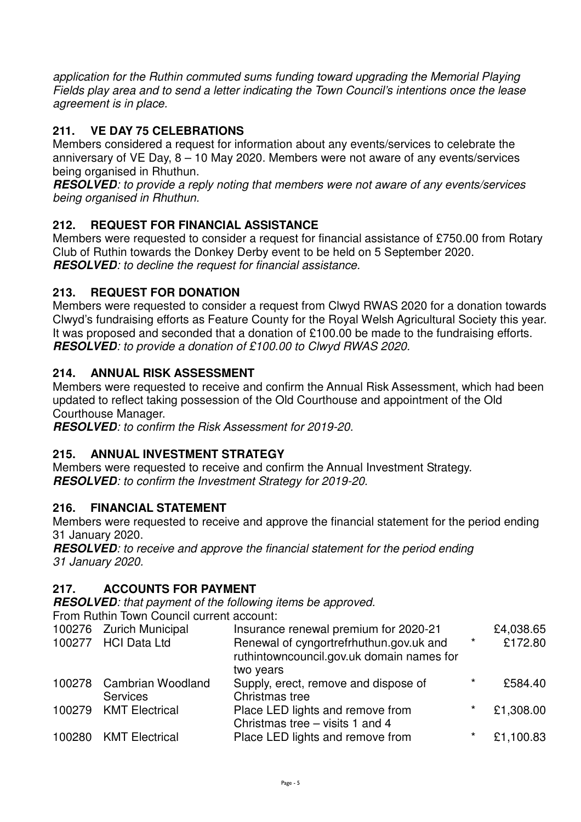*application for the Ruthin commuted sums funding toward upgrading the Memorial Playing Fields play area and to send a letter indicating the Town Council's intentions once the lease agreement is in place.* 

# **211. VE DAY 75 CELEBRATIONS**

Members considered a request for information about any events/services to celebrate the anniversary of VE Day, 8 – 10 May 2020. Members were not aware of any events/services being organised in Rhuthun.

**RESOLVED***: to provide a reply noting that members were not aware of any events/services being organised in Rhuthun.* 

# **212. REQUEST FOR FINANCIAL ASSISTANCE**

Members were requested to consider a request for financial assistance of £750.00 from Rotary Club of Ruthin towards the Donkey Derby event to be held on 5 September 2020. **RESOLVED***: to decline the request for financial assistance.* 

## **213. REQUEST FOR DONATION**

Members were requested to consider a request from Clwyd RWAS 2020 for a donation towards Clwyd's fundraising efforts as Feature County for the Royal Welsh Agricultural Society this year. It was proposed and seconded that a donation of £100.00 be made to the fundraising efforts. **RESOLVED***: to provide a donation of £100.00 to Clwyd RWAS 2020.* 

#### **214. ANNUAL RISK ASSESSMENT**

Members were requested to receive and confirm the Annual Risk Assessment, which had been updated to reflect taking possession of the Old Courthouse and appointment of the Old Courthouse Manager.

**RESOLVED***: to confirm the Risk Assessment for 2019-20.* 

## **215. ANNUAL INVESTMENT STRATEGY**

Members were requested to receive and confirm the Annual Investment Strategy. **RESOLVED***: to confirm the Investment Strategy for 2019-20.*

## **216. FINANCIAL STATEMENT**

Members were requested to receive and approve the financial statement for the period ending 31 January 2020.

**RESOLVED***: to receive and approve the financial statement for the period ending 31 January 2020.* 

## **217. ACCOUNTS FOR PAYMENT**

**RESOLVED***: that payment of the following items be approved.*

From Ruthin Town Council current account:

| 100276 Zurich Municipal  | Insurance renewal premium for 2020-21                                                |          | £4,038.65 |
|--------------------------|--------------------------------------------------------------------------------------|----------|-----------|
| 100277 HCI Data Ltd      | Renewal of cyngortrefrhuthun.gov.uk and<br>ruthintowncouncil.gov.uk domain names for | $\star$  | £172.80   |
|                          | two years                                                                            |          |           |
| 100278 Cambrian Woodland | Supply, erect, remove and dispose of                                                 | $\star$  | £584.40   |
| <b>Services</b>          | Christmas tree                                                                       |          |           |
| 100279 KMT Electrical    | Place LED lights and remove from<br>Christmas tree - visits 1 and 4                  | $\star$  | £1,308.00 |
| 100280 KMT Electrical    | Place LED lights and remove from                                                     | $^\star$ | £1,100.83 |